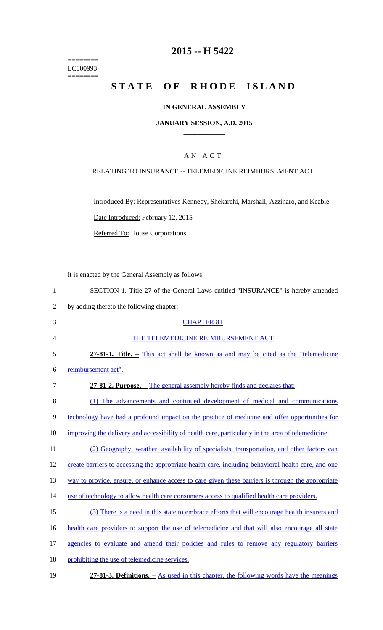======== LC000993 ========

# **2015 -- H 5422**

# STATE OF RHODE ISLAND

## **IN GENERAL ASSEMBLY**

#### **JANUARY SESSION, A.D. 2015 \_\_\_\_\_\_\_\_\_\_\_\_**

## A N A C T

### RELATING TO INSURANCE -- TELEMEDICINE REIMBURSEMENT ACT

Introduced By: Representatives Kennedy, Shekarchi, Marshall, Azzinaro, and Keable Date Introduced: February 12, 2015

Referred To: House Corporations

It is enacted by the General Assembly as follows:

|   | SECTION 1. Title 27 of the General Laws entitled "INSURANCE" is hereby amended |
|---|--------------------------------------------------------------------------------|
| 2 | by adding thereto the following chapter:                                       |

| 3      | <b>CHAPTER 81</b>                                                                                   |
|--------|-----------------------------------------------------------------------------------------------------|
| 4      | THE TELEMEDICINE REIMBURSEMENT ACT                                                                  |
| 5      | 27-81-1. Title. – This act shall be known as and may be cited as the "telemedicine"                 |
| 6      | reimbursement act".                                                                                 |
| $\tau$ | 27-81-2. Purpose. - The general assembly hereby finds and declares that:                            |
| 8      | (1) The advancements and continued development of medical and communications                        |
| 9      | technology have had a profound impact on the practice of medicine and offer opportunities for       |
| 10     | improving the delivery and accessibility of health care, particularly in the area of telemedicine.  |
| 11     | (2) Geography, weather, availability of specialists, transportation, and other factors can          |
| 12     | create barriers to accessing the appropriate health care, including behavioral health care, and one |
| 13     | way to provide, ensure, or enhance access to care given these barriers is through the appropriate   |
| 14     | use of technology to allow health care consumers access to qualified health care providers.         |
| 15     | (3) There is a need in this state to embrace efforts that will encourage health insurers and        |
| 16     | health care providers to support the use of telemedicine and that will also encourage all state     |
| 17     | agencies to evaluate and amend their policies and rules to remove any regulatory barriers           |
| 18     | prohibiting the use of telemedicine services.                                                       |
| 19     | 27-81-3. Definitions. $-$ As used in this chapter, the following words have the meanings            |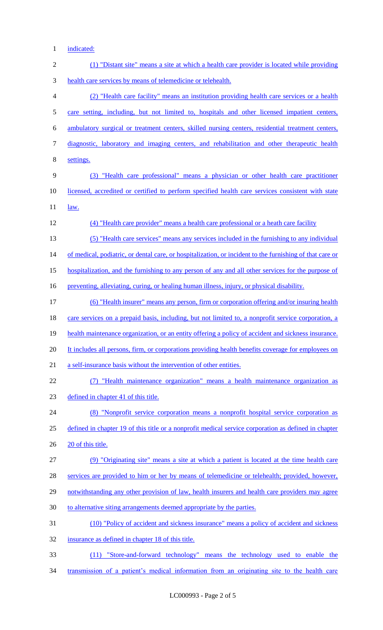1 indicated:

| $\mathbf{2}$   | (1) "Distant site" means a site at which a health care provider is located while providing               |
|----------------|----------------------------------------------------------------------------------------------------------|
| 3              | health care services by means of telemedicine or telehealth.                                             |
| $\overline{4}$ | (2) "Health care facility" means an institution providing health care services or a health               |
| 5              | care setting, including, but not limited to, hospitals and other licensed impatient centers,             |
| 6              | ambulatory surgical or treatment centers, skilled nursing centers, residential treatment centers,        |
| 7              | diagnostic, laboratory and imaging centers, and rehabilitation and other therapeutic health              |
| 8              | settings.                                                                                                |
| 9              | (3) "Health care professional" means a physician or other health care practitioner                       |
| 10             | licensed, accredited or certified to perform specified health care services consistent with state        |
| 11             | <u>law.</u>                                                                                              |
| 12             | (4) "Health care provider" means a health care professional or a heath care facility                     |
| 13             | (5) "Health care services" means any services included in the furnishing to any individual               |
| 14             | of medical, podiatric, or dental care, or hospitalization, or incident to the furnishing of that care or |
| 15             | hospitalization, and the furnishing to any person of any and all other services for the purpose of       |
| 16             | preventing, alleviating, curing, or healing human illness, injury, or physical disability.               |
| 17             | (6) "Health insurer" means any person, firm or corporation offering and/or insuring health               |
| 18             | care services on a prepaid basis, including, but not limited to, a nonprofit service corporation, a      |
| 19             | health maintenance organization, or an entity offering a policy of accident and sickness insurance.      |
| 20             | It includes all persons, firm, or corporations providing health benefits coverage for employees on       |
| 21             | a self-insurance basis without the intervention of other entities.                                       |
| 22             | "Health maintenance organization" means a health maintenance organization as<br>(7)                      |
| 23             | defined in chapter 41 of this title.                                                                     |
| 24             | (8) "Nonprofit service corporation means a nonprofit hospital service corporation as                     |
| 25             | defined in chapter 19 of this title or a nonprofit medical service corporation as defined in chapter     |
| 26             | 20 of this title.                                                                                        |
| 27             | (9) "Originating site" means a site at which a patient is located at the time health care                |
| 28             | services are provided to him or her by means of telemedicine or telehealth; provided, however,           |
| 29             | notwithstanding any other provision of law, health insurers and health care providers may agree          |
| 30             | to alternative siting arrangements deemed appropriate by the parties.                                    |
| 31             | (10) "Policy of accident and sickness insurance" means a policy of accident and sickness                 |
| 32             | insurance as defined in chapter 18 of this title.                                                        |
| 33             | (11) "Store-and-forward technology" means the technology used to enable the                              |

34 transmission of a patient's medical information from an originating site to the health care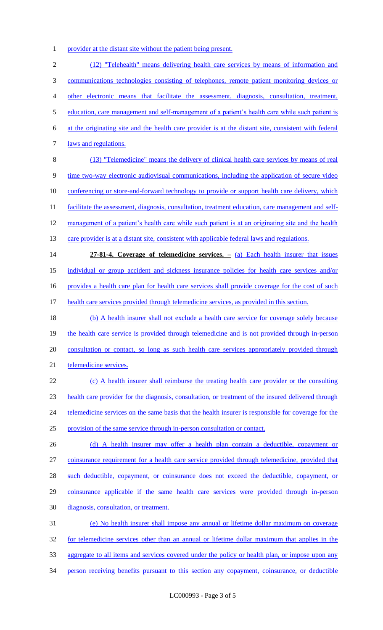1 provider at the distant site without the patient being present.

 (12) "Telehealth" means delivering health care services by means of information and communications technologies consisting of telephones, remote patient monitoring devices or other electronic means that facilitate the assessment, diagnosis, consultation, treatment, 5 education, care management and self-management of a patient's health care while such patient is at the originating site and the health care provider is at the distant site, consistent with federal 7 <u>laws and regulations.</u> (13) "Telemedicine" means the delivery of clinical health care services by means of real time two-way electronic audiovisual communications, including the application of secure video conferencing or store-and-forward technology to provide or support health care delivery, which 11 facilitate the assessment, diagnosis, consultation, treatment education, care management and self-12 management of a patient's health care while such patient is at an originating site and the health 13 care provider is at a distant site, consistent with applicable federal laws and regulations. **27-81-4. Coverage of telemedicine services. –** (a) Each health insurer that issues individual or group accident and sickness insurance policies for health care services and/or 16 provides a health care plan for health care services shall provide coverage for the cost of such health care services provided through telemedicine services, as provided in this section. 18 (b) A health insurer shall not exclude a health care service for coverage solely because 19 the health care service is provided through telemedicine and is not provided through in-person 20 consultation or contact, so long as such health care services appropriately provided through telemedicine services. (c) A health insurer shall reimburse the treating health care provider or the consulting health care provider for the diagnosis, consultation, or treatment of the insured delivered through 24 telemedicine services on the same basis that the health insurer is responsible for coverage for the provision of the same service through in-person consultation or contact. 26 (d) A health insurer may offer a health plan contain a deductible, copayment or coinsurance requirement for a health care service provided through telemedicine, provided that 28 such deductible, copayment, or coinsurance does not exceed the deductible, copayment, or coinsurance applicable if the same health care services were provided through in-person diagnosis, consultation, or treatment. (e) No health insurer shall impose any annual or lifetime dollar maximum on coverage for telemedicine services other than an annual or lifetime dollar maximum that applies in the aggregate to all items and services covered under the policy or health plan, or impose upon any person receiving benefits pursuant to this section any copayment, coinsurance, or deductible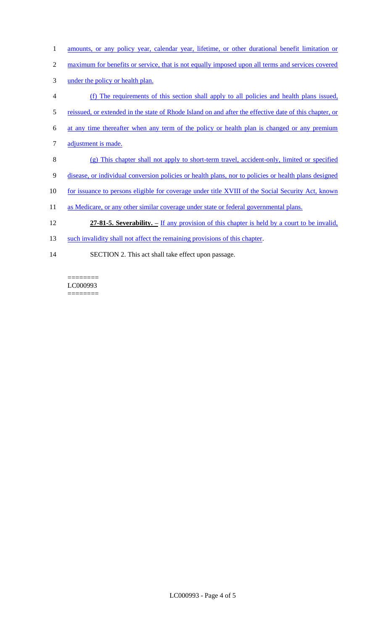- 1 amounts, or any policy year, calendar year, lifetime, or other durational benefit limitation or
- 2 maximum for benefits or service, that is not equally imposed upon all terms and services covered
- 3 under the policy or health plan.
- 4 (f) The requirements of this section shall apply to all policies and health plans issued,
- 5 reissued, or extended in the state of Rhode Island on and after the effective date of this chapter, or
- 6 at any time thereafter when any term of the policy or health plan is changed or any premium
- 7 adjustment is made.
- 8 (g) This chapter shall not apply to short-term travel, accident-only, limited or specified
- 9 disease, or individual conversion policies or health plans, nor to policies or health plans designed
- 10 for issuance to persons eligible for coverage under title XVIII of the Social Security Act, known
- 11 as Medicare, or any other similar coverage under state or federal governmental plans.
- 12 **27-81-5. Severability. –** If any provision of this chapter is held by a court to be invalid,
- 13 such invalidity shall not affect the remaining provisions of this chapter.
- 14 SECTION 2. This act shall take effect upon passage.

======== LC000993 ========